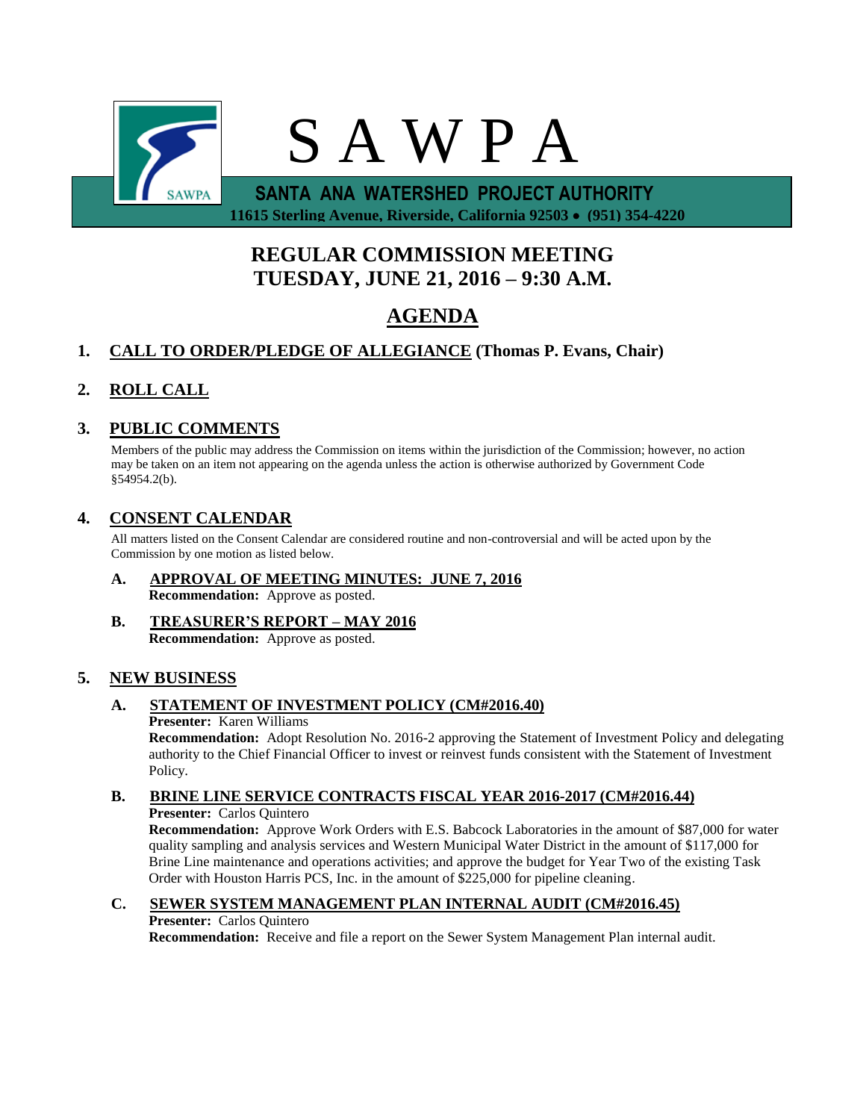

 **11615 Sterling Avenue, Riverside, California 92503 (951) 354-4220**

# **REGULAR COMMISSION MEETING TUESDAY, JUNE 21, 2016 – 9:30 A.M.**

# **AGENDA**

# **1. CALL TO ORDER/PLEDGE OF ALLEGIANCE (Thomas P. Evans, Chair)**

# **2. ROLL CALL**

## **3. PUBLIC COMMENTS**

Members of the public may address the Commission on items within the jurisdiction of the Commission; however, no action may be taken on an item not appearing on the agenda unless the action is otherwise authorized by Government Code §54954.2(b).

## **4. CONSENT CALENDAR**

All matters listed on the Consent Calendar are considered routine and non-controversial and will be acted upon by the Commission by one motion as listed below.

- **A. APPROVAL OF MEETING MINUTES: JUNE 7, 2016 Recommendation:** Approve as posted.
- **B. TREASURER'S REPORT – MAY 2016 Recommendation:** Approve as posted.

## **5. NEW BUSINESS**

#### **A. STATEMENT OF INVESTMENT POLICY (CM#2016.40) Presenter:** Karen Williams

**Recommendation:** Adopt Resolution No. 2016-2 approving the Statement of Investment Policy and delegating authority to the Chief Financial Officer to invest or reinvest funds consistent with the Statement of Investment Policy.

# **B. BRINE LINE SERVICE CONTRACTS FISCAL YEAR 2016-2017 (CM#2016.44)**

**Presenter:** Carlos Quintero

**Recommendation:** Approve Work Orders with E.S. Babcock Laboratories in the amount of \$87,000 for water quality sampling and analysis services and Western Municipal Water District in the amount of \$117,000 for Brine Line maintenance and operations activities; and approve the budget for Year Two of the existing Task Order with Houston Harris PCS, Inc. in the amount of \$225,000 for pipeline cleaning.

## **C. SEWER SYSTEM MANAGEMENT PLAN INTERNAL AUDIT (CM#2016.45)**

#### **Presenter:** Carlos Quintero

**Recommendation:** Receive and file a report on the Sewer System Management Plan internal audit.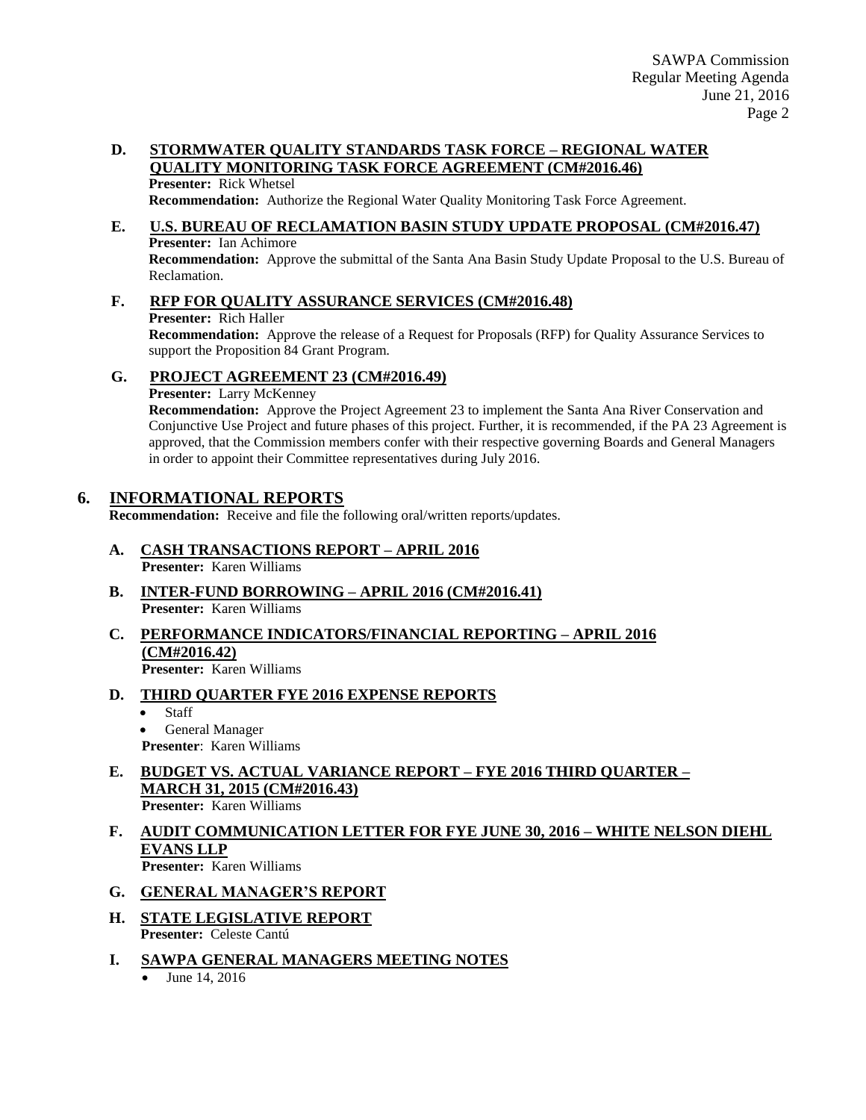### **D. STORMWATER QUALITY STANDARDS TASK FORCE – REGIONAL WATER QUALITY MONITORING TASK FORCE AGREEMENT (CM#2016.46)**

### **Presenter:** Rick Whetsel

**Recommendation:** Authorize the Regional Water Quality Monitoring Task Force Agreement.

# **E. U.S. BUREAU OF RECLAMATION BASIN STUDY UPDATE PROPOSAL (CM#2016.47)**

**Presenter:** Ian Achimore **Recommendation:** Approve the submittal of the Santa Ana Basin Study Update Proposal to the U.S. Bureau of Reclamation.

**F. RFP FOR QUALITY ASSURANCE SERVICES (CM#2016.48) Presenter:** Rich Haller **Recommendation:** Approve the release of a Request for Proposals (RFP) for Quality Assurance Services to support the Proposition 84 Grant Program.

### **G. PROJECT AGREEMENT 23 (CM#2016.49)**

**Presenter:** Larry McKenney

**Recommendation:** Approve the Project Agreement 23 to implement the Santa Ana River Conservation and Conjunctive Use Project and future phases of this project. Further, it is recommended, if the PA 23 Agreement is approved, that the Commission members confer with their respective governing Boards and General Managers in order to appoint their Committee representatives during July 2016.

## **6. INFORMATIONAL REPORTS**

**Recommendation:** Receive and file the following oral/written reports/updates.

- **A. CASH TRANSACTIONS REPORT – APRIL 2016 Presenter:** Karen Williams
- **B. INTER-FUND BORROWING – APRIL 2016 (CM#2016.41) Presenter:** Karen Williams
- **C. PERFORMANCE INDICATORS/FINANCIAL REPORTING – APRIL 2016 (CM#2016.42) Presenter:** Karen Williams
- **D. THIRD QUARTER FYE 2016 EXPENSE REPORTS**
	- Staff
	- General Manager
	- **Presenter**: Karen Williams
- **E. BUDGET VS. ACTUAL VARIANCE REPORT – FYE 2016 THIRD QUARTER – MARCH 31, 2015 (CM#2016.43) Presenter:** Karen Williams
- **F. AUDIT COMMUNICATION LETTER FOR FYE JUNE 30, 2016 – WHITE NELSON DIEHL EVANS LLP Presenter:** Karen Williams
- **G. GENERAL MANAGER'S REPORT**
- **H. STATE LEGISLATIVE REPORT Presenter:** Celeste Cantú
- **I. SAWPA GENERAL MANAGERS MEETING NOTES**
	- June 14, 2016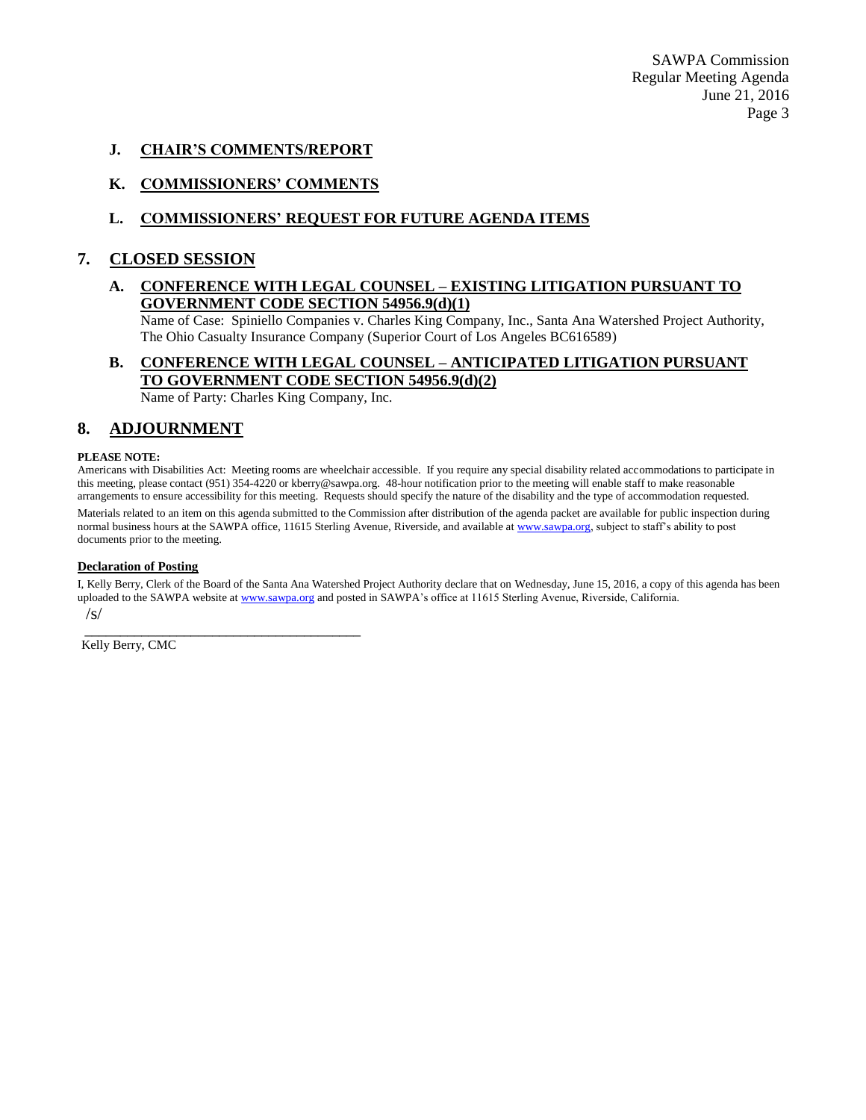SAWPA Commission Regular Meeting Agenda June 21, 2016 Page 3

#### **J. CHAIR'S COMMENTS/REPORT**

#### **K. COMMISSIONERS' COMMENTS**

#### **L. COMMISSIONERS' REQUEST FOR FUTURE AGENDA ITEMS**

#### **7. CLOSED SESSION**

#### **A. CONFERENCE WITH LEGAL COUNSEL – EXISTING LITIGATION PURSUANT TO GOVERNMENT CODE SECTION 54956.9(d)(1)**

Name of Case: Spiniello Companies v. Charles King Company, Inc., Santa Ana Watershed Project Authority, The Ohio Casualty Insurance Company (Superior Court of Los Angeles BC616589)

## **B. CONFERENCE WITH LEGAL COUNSEL – ANTICIPATED LITIGATION PURSUANT TO GOVERNMENT CODE SECTION 54956.9(d)(2)**

Name of Party: Charles King Company, Inc.

### **8. ADJOURNMENT**

#### **PLEASE NOTE:**

Americans with Disabilities Act: Meeting rooms are wheelchair accessible. If you require any special disability related accommodations to participate in this meeting, please contact (951) 354-4220 or kberry@sawpa.org. 48-hour notification prior to the meeting will enable staff to make reasonable arrangements to ensure accessibility for this meeting. Requests should specify the nature of the disability and the type of accommodation requested.

Materials related to an item on this agenda submitted to the Commission after distribution of the agenda packet are available for public inspection during normal business hours at the SAWPA office, 11615 Sterling Avenue, Riverside, and available a[t www.sawpa.org,](http://www.sawpa.org/) subject to staff's ability to post documents prior to the meeting.

#### **Declaration of Posting**

I, Kelly Berry, Clerk of the Board of the Santa Ana Watershed Project Authority declare that on Wednesday, June 15, 2016, a copy of this agenda has been uploaded to the SAWPA website a[t www.sawpa.org](http://www.sawpa.org/) and posted in SAWPA's office at 11615 Sterling Avenue, Riverside, California. /s/

\_\_\_\_\_\_\_\_\_\_\_\_\_\_\_\_\_\_\_\_\_\_\_\_\_\_\_\_\_\_\_\_\_\_\_\_\_\_\_ Kelly Berry, CMC